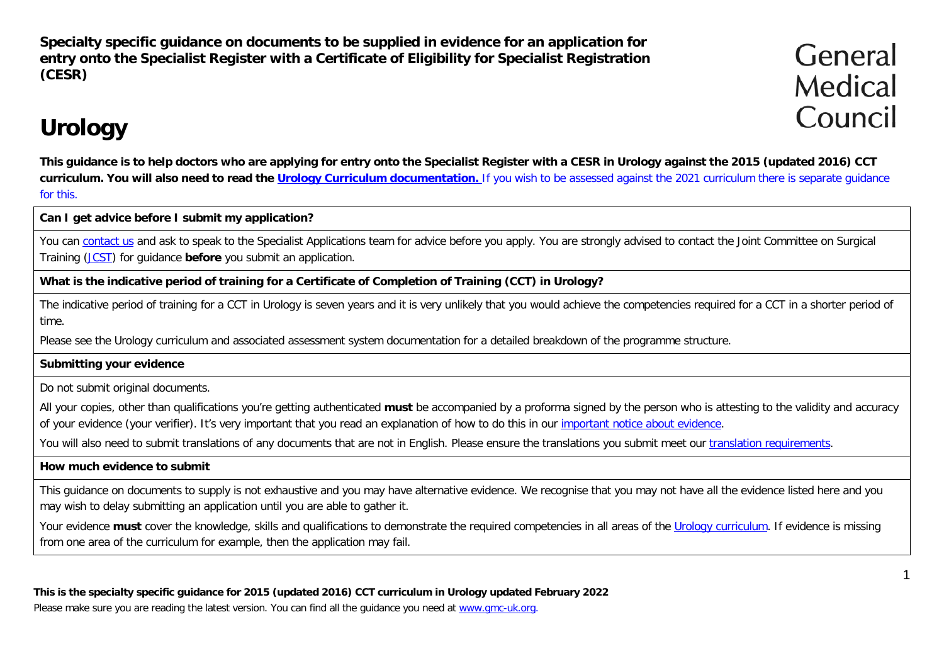**Specialty specific guidance on documents to be supplied in evidence for an application for entry onto the Specialist Register with a Certificate of Eligibility for Specialist Registration (CESR)**

General Medical Council

# **Urology**

**This guidance is to help doctors who are applying for entry onto the Specialist Register with a CESR in Urology against the 2015 (updated 2016) CCT curriculum. You will also need to read the Urology [Curriculum documentation.](http://www.gmc-uk.org/education/postgraduate/urology.asp)** If you wish to be assessed against the 2021 curriculum there is separate guidance for this.

**Can I get advice before I submit my application?**

You can [contact us](http://www.gmc-uk.org/contact.asp) and ask to speak to the Specialist Applications team for advice before you apply. You are strongly advised to contact the Joint Committee on Surgical Training [\(JCST\)](http://www.jcst.org/) for guidance **before** you submit an application.

### **What is the indicative period of training for a Certificate of Completion of Training (CCT) in Urology?**

The indicative period of training for a CCT in Urology is seven years and it is very unlikely that you would achieve the competencies required for a CCT in a shorter period of time.

Please see the [Urology curriculum and associated assessment system documentation](http://www.gmc-uk.org/Urology___Simulation_Curriculum___Aug_2013.pdf_53278628.pdf) for a detailed breakdown of the programme structure.

### **Submitting your evidence**

Do not submit original documents.

All your copies, other than qualifications you're getting authenticated **must** be accompanied by a proforma signed by the person who is attesting to the validity and accuracy of your evidence (your verifier). It's very important that you read an explanation of how to do this in our [important notice about evidence.](http://www.gmc-uk.org/doctors/evidence_notice.asp)

You will also need to submit translations of any documents that are not in English. Please ensure the translations you submit meet our [translation requirements.](http://www.gmc-uk.org/doctors/translations.asp)

#### **How much evidence to submit**

This guidance on documents to supply is not exhaustive and you may have alternative evidence. We recognise that you may not have all the evidence listed here and you may wish to delay submitting an application until you are able to gather it.

Your evidence **must** cover the knowledge, skills and qualifications to demonstrate the required competencies in all areas of the [Urology curriculum.](http://www.gmc-uk.org/Urology___Simulation_Curriculum___Aug_2013.pdf_53278628.pdf) If evidence is missing from one area of the curriculum for example, then the application may fail.

**This is the specialty specific guidance for 2015 (updated 2016) CCT curriculum in Urology updated February 2022** Please make sure you are reading the latest version. You can find all the guidance you need at [www.gmc-uk.org.](http://www.gmc-uk.org/)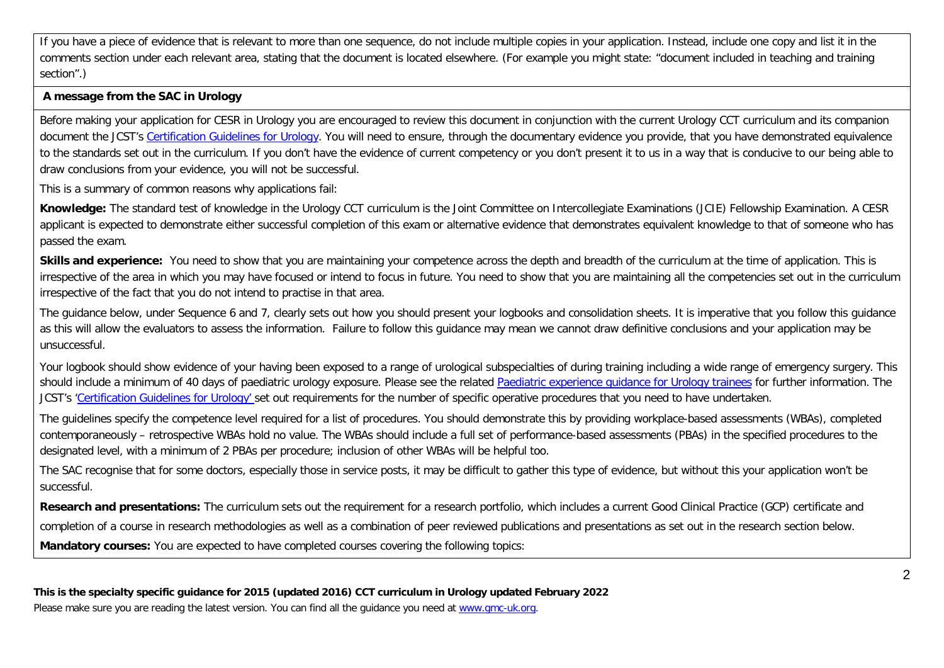If you have a piece of evidence that is relevant to more than one sequence, do not include multiple copies in your application. Instead, include one copy and list it in the comments section under each relevant area, stating that the document is located elsewhere. (For example you might state: "document included in teaching and training section".)

#### **A message from the SAC in Urology**

Before making your application for CESR in Urology you are encouraged to review this document in conjunction with the current Urology CCT curriculum and its companion document the JCST's [Certification Guidelines for Urology.](https://www.jcst.org/quality-assurance/certification-guidelines-and-checklists/) You will need to ensure, through the documentary evidence you provide, that you have demonstrated equivalence to the standards set out in the curriculum. If you don't have the evidence of current competency or you don't present it to us in a way that is conducive to our being able to draw conclusions from your evidence, you will not be successful.

This is a summary of common reasons why applications fail:

**Knowledge:** The standard test of knowledge in the Urology CCT curriculum is the Joint Committee on Intercollegiate Examinations (JCIE) Fellowship Examination. A CESR applicant is expected to demonstrate either successful completion of this exam or alternative evidence that demonstrates equivalent knowledge to that of someone who has passed the exam.

**Skills and experience:** You need to show that you are maintaining your competence across the depth and breadth of the curriculum at the time of application. This is irrespective of the area in which you may have focused or intend to focus in future. You need to show that you are maintaining all the competencies set out in the curriculum irrespective of the fact that you do not intend to practise in that area.

The guidance below, under Sequence 6 and 7, clearly sets out how you should present your logbooks and consolidation sheets. It is imperative that you follow this guidance as this will allow the evaluators to assess the information. Failure to follow this guidance may mean we cannot draw definitive conclusions and your application may be unsuccessful.

Your logbook should show evidence of your having been exposed to a range of urological subspecialties of during training including a wide range of emergency surgery. This should include a minimum of 40 days of paediatric urology exposure. Please see the related Paediatric experience quidance for Urology trainees for further information. The JCST's ['Certification Guidelines for Urology'](https://www.jcst.org/quality-assurance/certification-guidelines-and-checklists/) set out requirements for the number of specific operative procedures that you need to have undertaken.

The guidelines specify the competence level required for a list of procedures. You should demonstrate this by providing workplace-based assessments (WBAs), completed contemporaneously – retrospective WBAs hold no value. The WBAs should include a full set of performance-based assessments (PBAs) in the specified procedures to the designated level, with a minimum of 2 PBAs per procedure; inclusion of other WBAs will be helpful too.

The SAC recognise that for some doctors, especially those in service posts, it may be difficult to gather this type of evidence, but without this your application won't be successful.

**Research and presentations:** The curriculum sets out the requirement for a research portfolio, which includes a current Good Clinical Practice (GCP) certificate and completion of a course in research methodologies as well as a combination of peer reviewed publications and presentations as set out in the research section below. **Mandatory courses:** You are expected to have completed courses covering the following topics: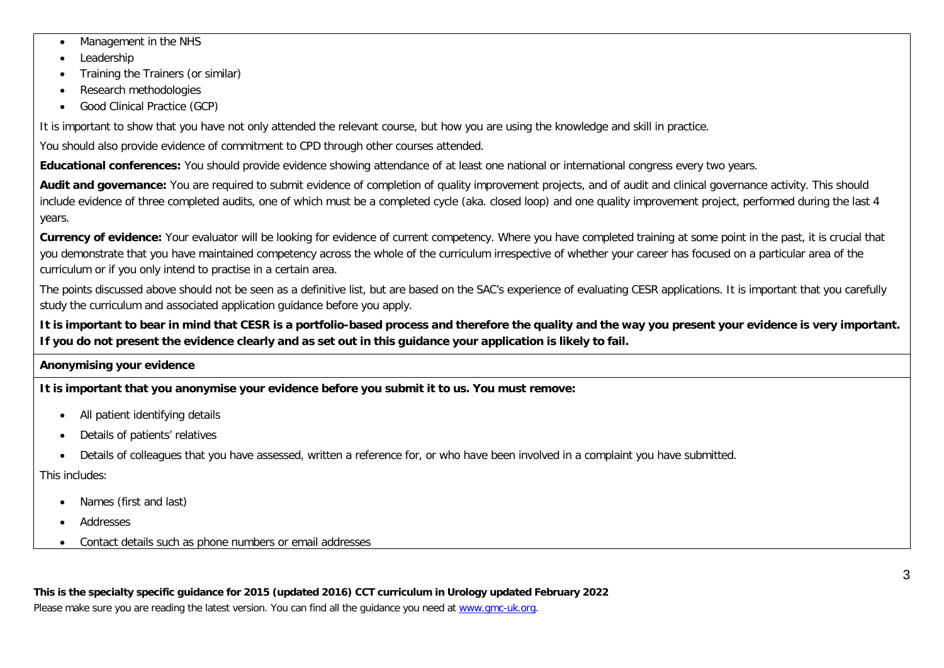- Management in the NHS
- Leadership
- Training the Trainers (or similar)
- Research methodologies
- Good Clinical Practice (GCP)

It is important to show that you have not only attended the relevant course, but how you are using the knowledge and skill in practice.

You should also provide evidence of commitment to CPD through other courses attended.

**Educational conferences:** You should provide evidence showing attendance of at least one national or international congress every two years.

Audit and governance: You are required to submit evidence of completion of quality improvement projects, and of audit and clinical governance activity. This should include evidence of three completed audits, one of which must be a completed cycle (aka. closed loop) and one quality improvement project, performed during the last 4 years.

**Currency of evidence:** Your evaluator will be looking for evidence of current competency. Where you have completed training at some point in the past, it is crucial that you demonstrate that you have maintained competency across the whole of the curriculum irrespective of whether your career has focused on a particular area of the curriculum or if you only intend to practise in a certain area.

The points discussed above should not be seen as a definitive list, but are based on the SAC's experience of evaluating CESR applications. It is important that you carefully study the curriculum and associated application guidance before you apply.

**It is important to bear in mind that CESR is a portfolio-based process and therefore the quality and the way you present your evidence is very important. If you do not present the evidence clearly and as set out in this guidance your application is likely to fail.**

#### **Anonymising your evidence**

**It is important that you anonymise your evidence before you submit it to us. You must remove:**

- All patient identifying details
- Details of patients' relatives
- Details of colleagues that you have assessed, written a reference for, or who have been involved in a complaint you have submitted.

This includes:

- Names (first and last)
- Addresses
- Contact details such as phone numbers or email addresses

**This is the specialty specific guidance for 2015 (updated 2016) CCT curriculum in Urology updated February 2022** Please make sure you are reading the latest version. You can find all the guidance you need at [www.gmc-uk.org.](http://www.gmc-uk.org/)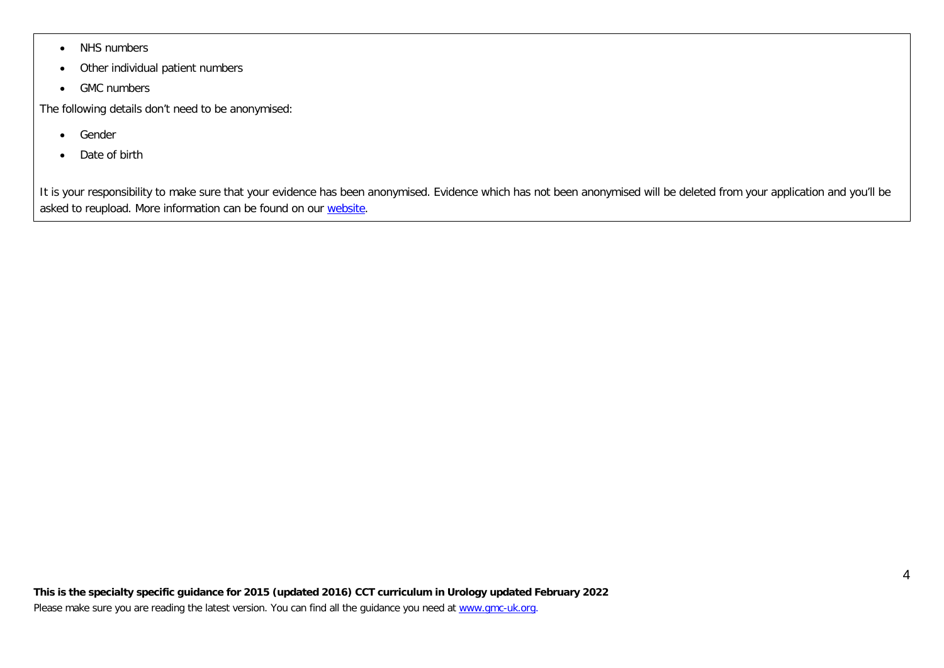- NHS numbers
- Other individual patient numbers
- GMC numbers

The following details don't need to be anonymised:

- Gender
- Date of birth

It is your responsibility to make sure that your evidence has been anonymised. Evidence which has not been anonymised will be deleted from your application and you'll be asked to reupload. More information can be found on our [website.](https://www.gmc-uk.org/registration-and-licensing/join-the-register/registration-applications/specialist-application-guides/specialist-registration-cesr-or-cegpr/how-do-i-anonymise-my-evidence)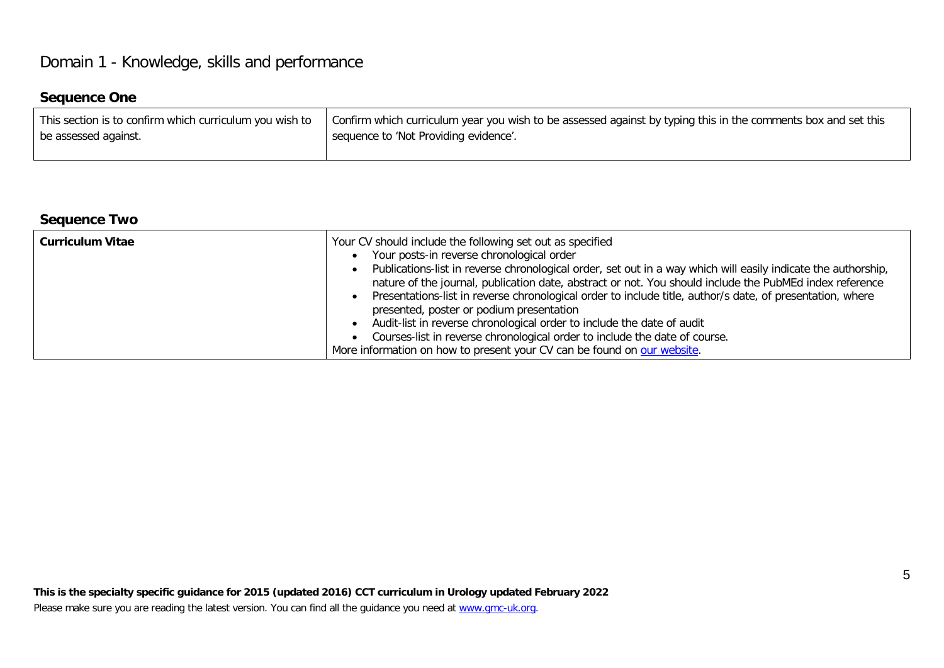# Domain 1 - Knowledge, skills and performance

# **Sequence One**

| This section is to confirm which curriculum you wish to | Confirm which curriculum year you wish to be assessed against by typing this in the comments box and set this |
|---------------------------------------------------------|---------------------------------------------------------------------------------------------------------------|
| be assessed against.                                    | sequence to 'Not Providing evidence'.                                                                         |
|                                                         |                                                                                                               |

# **Sequence Two**

| <b>Curriculum Vitae</b> | Your CV should include the following set out as specified<br>Your posts-in reverse chronological order<br>Publications-list in reverse chronological order, set out in a way which will easily indicate the authorship,<br>nature of the journal, publication date, abstract or not. You should include the PubMEd index reference<br>Presentations-list in reverse chronological order to include title, author/s date, of presentation, where<br>presented, poster or podium presentation<br>Audit-list in reverse chronological order to include the date of audit<br>Courses-list in reverse chronological order to include the date of course. |  |
|-------------------------|-----------------------------------------------------------------------------------------------------------------------------------------------------------------------------------------------------------------------------------------------------------------------------------------------------------------------------------------------------------------------------------------------------------------------------------------------------------------------------------------------------------------------------------------------------------------------------------------------------------------------------------------------------|--|
|                         | More information on how to present your CV can be found on our website.                                                                                                                                                                                                                                                                                                                                                                                                                                                                                                                                                                             |  |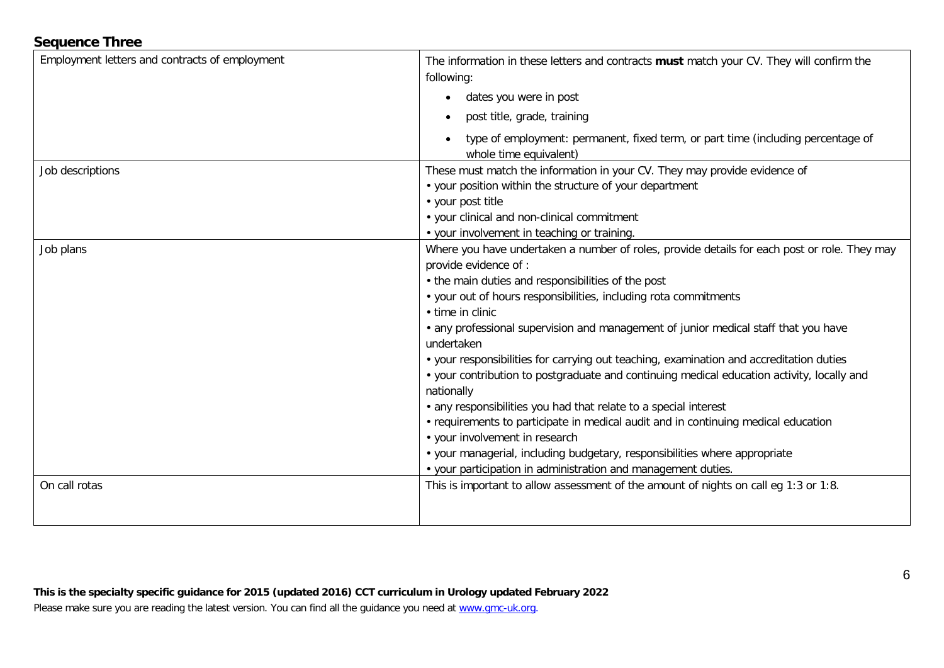# **Sequence Three**

| Employment letters and contracts of employment | The information in these letters and contracts must match your CV. They will confirm the<br>following:<br>dates you were in post<br>$\bullet$<br>post title, grade, training<br>$\bullet$<br>type of employment: permanent, fixed term, or part time (including percentage of<br>whole time equivalent)                                                                                                                                                                                                                                                                                                                                                                                                                                                                                                                                                                                                                    |
|------------------------------------------------|----------------------------------------------------------------------------------------------------------------------------------------------------------------------------------------------------------------------------------------------------------------------------------------------------------------------------------------------------------------------------------------------------------------------------------------------------------------------------------------------------------------------------------------------------------------------------------------------------------------------------------------------------------------------------------------------------------------------------------------------------------------------------------------------------------------------------------------------------------------------------------------------------------------------------|
| Job descriptions                               | These must match the information in your CV. They may provide evidence of<br>• your position within the structure of your department<br>• your post title<br>• your clinical and non-clinical commitment<br>• your involvement in teaching or training.                                                                                                                                                                                                                                                                                                                                                                                                                                                                                                                                                                                                                                                                    |
| Job plans                                      | Where you have undertaken a number of roles, provide details for each post or role. They may<br>provide evidence of :<br>• the main duties and responsibilities of the post<br>• your out of hours responsibilities, including rota commitments<br>• time in clinic<br>• any professional supervision and management of junior medical staff that you have<br>undertaken<br>• your responsibilities for carrying out teaching, examination and accreditation duties<br>• your contribution to postgraduate and continuing medical education activity, locally and<br>nationally<br>• any responsibilities you had that relate to a special interest<br>• requirements to participate in medical audit and in continuing medical education<br>• your involvement in research<br>· your managerial, including budgetary, responsibilities where appropriate<br>• your participation in administration and management duties. |
| On call rotas                                  | This is important to allow assessment of the amount of nights on call eq 1:3 or 1:8.                                                                                                                                                                                                                                                                                                                                                                                                                                                                                                                                                                                                                                                                                                                                                                                                                                       |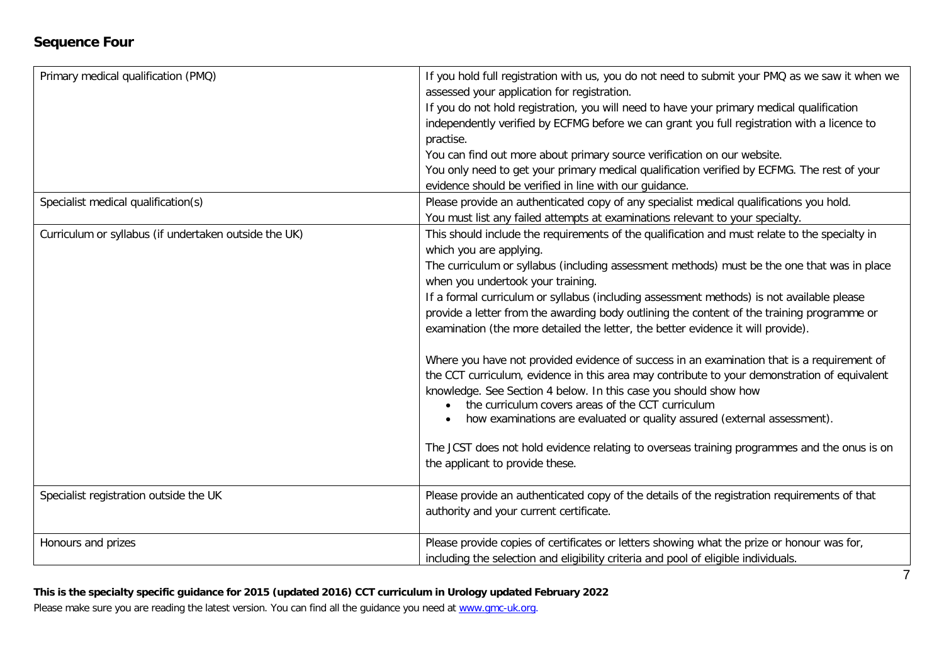# **Sequence Four**

| Primary medical qualification (PMQ)                   | If you hold full registration with us, you do not need to submit your PMQ as we saw it when we<br>assessed your application for registration.<br>If you do not hold registration, you will need to have your primary medical qualification<br>independently verified by ECFMG before we can grant you full registration with a licence to<br>practise.<br>You can find out more about primary source verification on our website.<br>You only need to get your primary medical qualification verified by ECFMG. The rest of your<br>evidence should be verified in line with our quidance.                                                                                                                                                                                                                                                                                                                                                                                                                                                                                       |
|-------------------------------------------------------|----------------------------------------------------------------------------------------------------------------------------------------------------------------------------------------------------------------------------------------------------------------------------------------------------------------------------------------------------------------------------------------------------------------------------------------------------------------------------------------------------------------------------------------------------------------------------------------------------------------------------------------------------------------------------------------------------------------------------------------------------------------------------------------------------------------------------------------------------------------------------------------------------------------------------------------------------------------------------------------------------------------------------------------------------------------------------------|
| Specialist medical qualification(s)                   | Please provide an authenticated copy of any specialist medical qualifications you hold.<br>You must list any failed attempts at examinations relevant to your specialty.                                                                                                                                                                                                                                                                                                                                                                                                                                                                                                                                                                                                                                                                                                                                                                                                                                                                                                         |
| Curriculum or syllabus (if undertaken outside the UK) | This should include the requirements of the qualification and must relate to the specialty in<br>which you are applying.<br>The curriculum or syllabus (including assessment methods) must be the one that was in place<br>when you undertook your training.<br>If a formal curriculum or syllabus (including assessment methods) is not available please<br>provide a letter from the awarding body outlining the content of the training programme or<br>examination (the more detailed the letter, the better evidence it will provide).<br>Where you have not provided evidence of success in an examination that is a requirement of<br>the CCT curriculum, evidence in this area may contribute to your demonstration of equivalent<br>knowledge. See Section 4 below. In this case you should show how<br>the curriculum covers areas of the CCT curriculum<br>how examinations are evaluated or quality assured (external assessment).<br>The JCST does not hold evidence relating to overseas training programmes and the onus is on<br>the applicant to provide these. |
| Specialist registration outside the UK                | Please provide an authenticated copy of the details of the registration requirements of that<br>authority and your current certificate.                                                                                                                                                                                                                                                                                                                                                                                                                                                                                                                                                                                                                                                                                                                                                                                                                                                                                                                                          |
| Honours and prizes                                    | Please provide copies of certificates or letters showing what the prize or honour was for,<br>including the selection and eligibility criteria and pool of eligible individuals.                                                                                                                                                                                                                                                                                                                                                                                                                                                                                                                                                                                                                                                                                                                                                                                                                                                                                                 |

# **This is the specialty specific guidance for 2015 (updated 2016) CCT curriculum in Urology updated February 2022**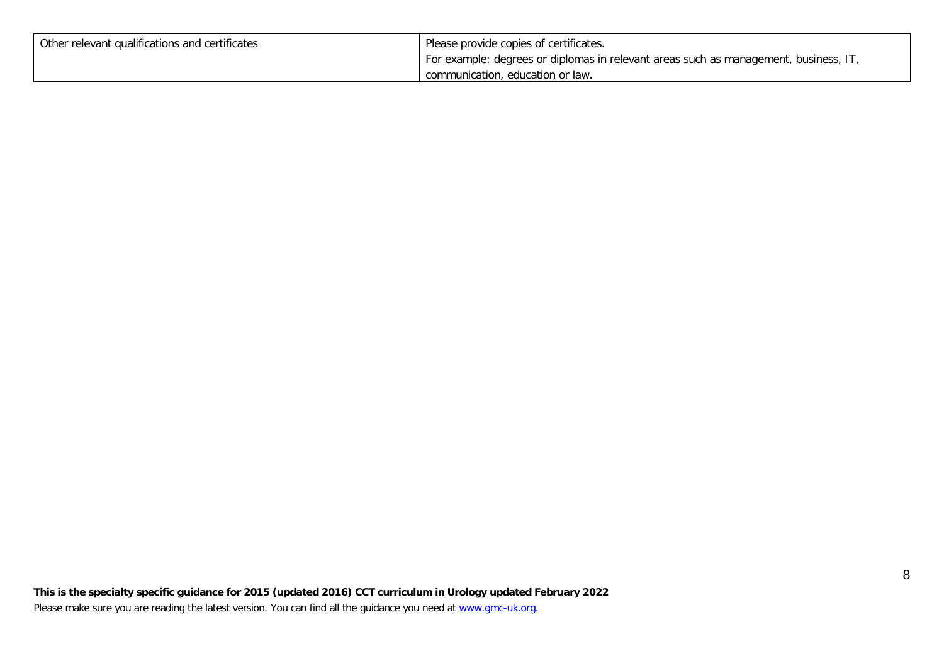| Other relevant qualifications and certificates | Please provide copies of certificates.                                               |
|------------------------------------------------|--------------------------------------------------------------------------------------|
|                                                | For example: degrees or diplomas in relevant areas such as management, business, IT, |
|                                                | communication, education or law.                                                     |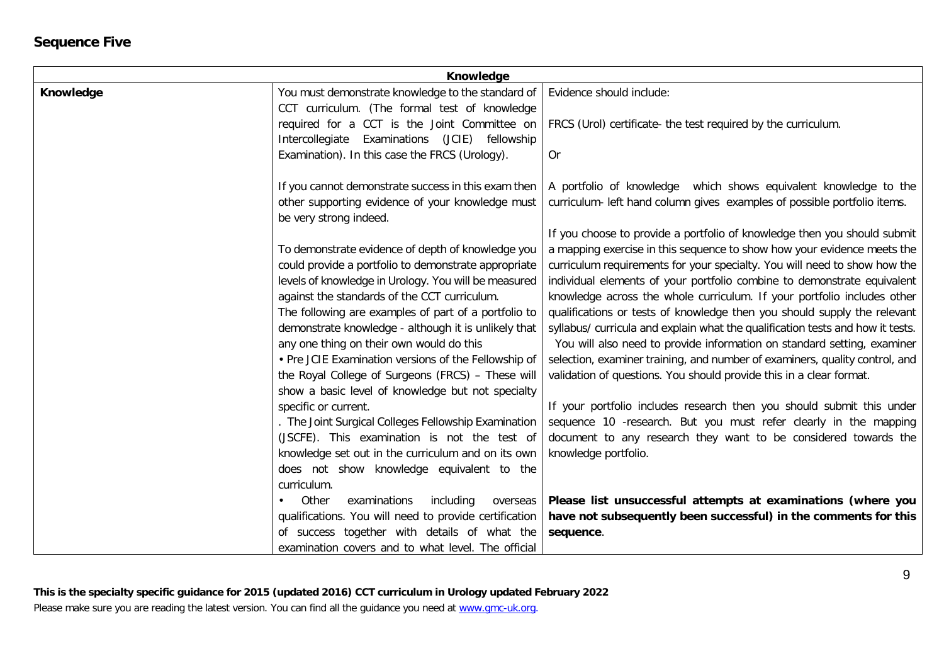# **Sequence Five**

| Knowledge |                                                        |                                                                                |
|-----------|--------------------------------------------------------|--------------------------------------------------------------------------------|
| Knowledge | You must demonstrate knowledge to the standard of      | Evidence should include:                                                       |
|           | CCT curriculum. (The formal test of knowledge          |                                                                                |
|           | required for a CCT is the Joint Committee on           | FRCS (Urol) certificate- the test required by the curriculum.                  |
|           | (JCIE) fellowship<br>Intercollegiate Examinations      |                                                                                |
|           | Examination). In this case the FRCS (Urology).         | <b>Or</b>                                                                      |
|           | If you cannot demonstrate success in this exam then    | A portfolio of knowledge which shows equivalent knowledge to the               |
|           | other supporting evidence of your knowledge must       | curriculum- left hand column gives examples of possible portfolio items.       |
|           | be very strong indeed.                                 |                                                                                |
|           |                                                        | If you choose to provide a portfolio of knowledge then you should submit       |
|           | To demonstrate evidence of depth of knowledge you      | a mapping exercise in this sequence to show how your evidence meets the        |
|           | could provide a portfolio to demonstrate appropriate   | curriculum requirements for your specialty. You will need to show how the      |
|           | levels of knowledge in Urology. You will be measured   | individual elements of your portfolio combine to demonstrate equivalent        |
|           | against the standards of the CCT curriculum.           | knowledge across the whole curriculum. If your portfolio includes other        |
|           | The following are examples of part of a portfolio to   | qualifications or tests of knowledge then you should supply the relevant       |
|           | demonstrate knowledge - although it is unlikely that   | syllabus/ curricula and explain what the qualification tests and how it tests. |
|           | any one thing on their own would do this               | You will also need to provide information on standard setting, examiner        |
|           | • Pre JCIE Examination versions of the Fellowship of   | selection, examiner training, and number of examiners, quality control, and    |
|           | the Royal College of Surgeons (FRCS) - These will      | validation of questions. You should provide this in a clear format.            |
|           | show a basic level of knowledge but not specialty      |                                                                                |
|           | specific or current.                                   | If your portfolio includes research then you should submit this under          |
|           | . The Joint Surgical Colleges Fellowship Examination   | sequence 10 -research. But you must refer clearly in the mapping               |
|           | (JSCFE). This examination is not the test of           | document to any research they want to be considered towards the                |
|           | knowledge set out in the curriculum and on its own     | knowledge portfolio.                                                           |
|           | does not show knowledge equivalent to the              |                                                                                |
|           | curriculum.                                            |                                                                                |
|           | examinations<br>including<br>Other<br>overseas         | Please list unsuccessful attempts at examinations (where you                   |
|           | qualifications. You will need to provide certification | have not subsequently been successful) in the comments for this                |
|           | of success together with details of what the           | sequence.                                                                      |
|           | examination covers and to what level. The official     |                                                                                |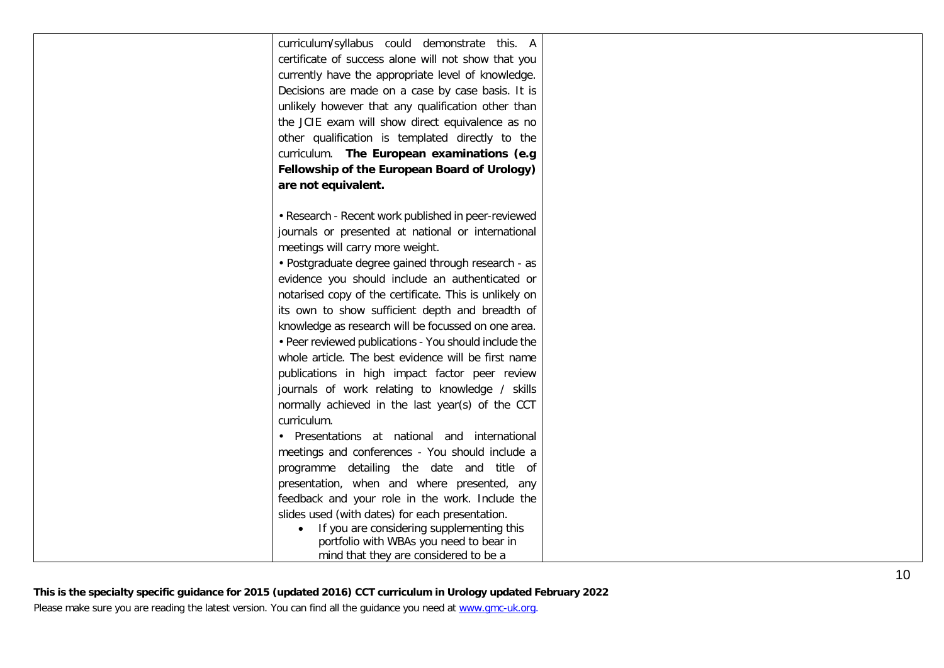| curriculum/syllabus could demonstrate this. A          |  |
|--------------------------------------------------------|--|
| certificate of success alone will not show that you    |  |
| currently have the appropriate level of knowledge.     |  |
| Decisions are made on a case by case basis. It is      |  |
| unlikely however that any qualification other than     |  |
| the JCIE exam will show direct equivalence as no       |  |
| other qualification is templated directly to the       |  |
| curriculum. The European examinations (e.g             |  |
| Fellowship of the European Board of Urology)           |  |
| are not equivalent.                                    |  |
|                                                        |  |
| • Research - Recent work published in peer-reviewed    |  |
| journals or presented at national or international     |  |
| meetings will carry more weight.                       |  |
| • Postgraduate degree gained through research - as     |  |
| evidence you should include an authenticated or        |  |
| notarised copy of the certificate. This is unlikely on |  |
| its own to show sufficient depth and breadth of        |  |
| knowledge as research will be focussed on one area.    |  |
| • Peer reviewed publications - You should include the  |  |
| whole article. The best evidence will be first name    |  |
| publications in high impact factor peer review         |  |
| journals of work relating to knowledge / skills        |  |
| normally achieved in the last year(s) of the CCT       |  |
| curriculum.                                            |  |
| • Presentations at national and international          |  |
| meetings and conferences - You should include a        |  |
| programme detailing the date and title of              |  |
| presentation, when and where presented, any            |  |
| feedback and your role in the work. Include the        |  |
| slides used (with dates) for each presentation.        |  |
| If you are considering supplementing this              |  |
| portfolio with WBAs you need to bear in                |  |
| mind that they are considered to be a                  |  |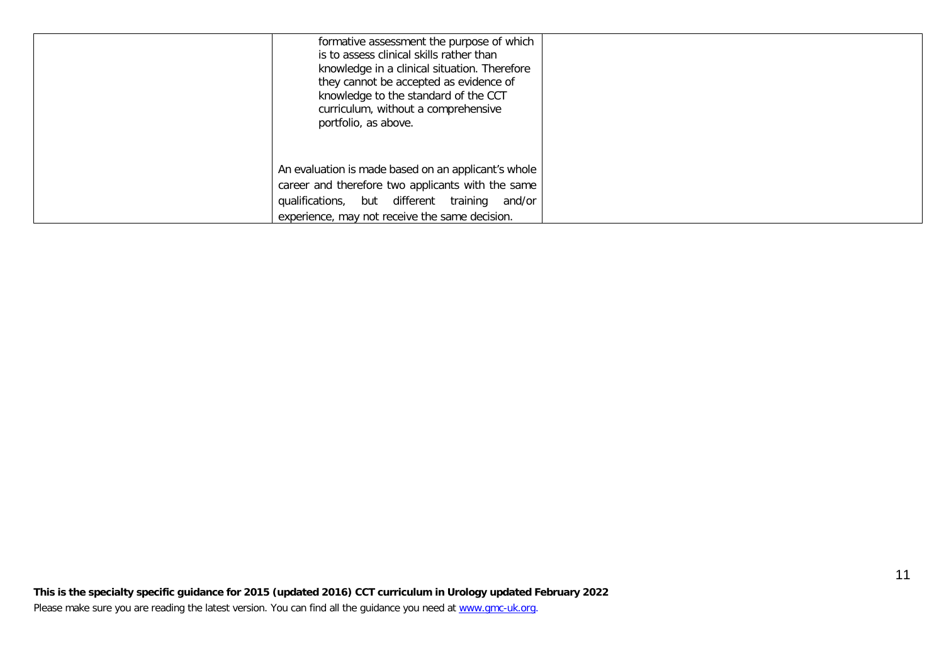| formative assessment the purpose of which<br>is to assess clinical skills rather than<br>knowledge in a clinical situation. Therefore<br>they cannot be accepted as evidence of<br>knowledge to the standard of the CCT<br>curriculum, without a comprehensive<br>portfolio, as above. |  |
|----------------------------------------------------------------------------------------------------------------------------------------------------------------------------------------------------------------------------------------------------------------------------------------|--|
| An evaluation is made based on an applicant's whole<br>career and therefore two applicants with the same<br>qualifications, but different training<br>and/or<br>experience, may not receive the same decision.                                                                         |  |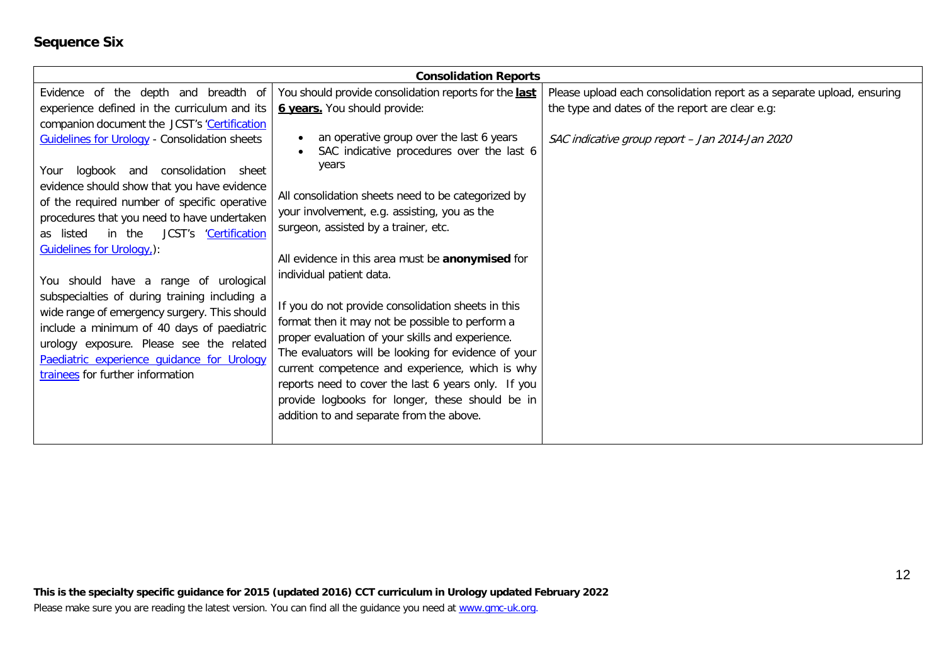# **Sequence Six**

| <b>Consolidation Reports</b>                                                                          |                                                                                                |                                                                        |  |
|-------------------------------------------------------------------------------------------------------|------------------------------------------------------------------------------------------------|------------------------------------------------------------------------|--|
| Evidence of the depth and breadth of                                                                  | You should provide consolidation reports for the last                                          | Please upload each consolidation report as a separate upload, ensuring |  |
| experience defined in the curriculum and its                                                          | <b>6 years.</b> You should provide:                                                            | the type and dates of the report are clear e.g:                        |  |
| companion document the JCST's 'Certification                                                          |                                                                                                |                                                                        |  |
| <b>Guidelines for Urology - Consolidation sheets</b><br>logbook and<br>consolidation<br>Your<br>sheet | an operative group over the last 6 years<br>SAC indicative procedures over the last 6<br>years | SAC indicative group report - Jan 2014-Jan 2020                        |  |
| evidence should show that you have evidence                                                           |                                                                                                |                                                                        |  |
| of the required number of specific operative                                                          | All consolidation sheets need to be categorized by                                             |                                                                        |  |
| procedures that you need to have undertaken                                                           | your involvement, e.g. assisting, you as the                                                   |                                                                        |  |
| JCST's 'Certification<br>in the<br>as listed                                                          | surgeon, assisted by a trainer, etc.                                                           |                                                                        |  |
| Guidelines for Urology,):                                                                             | All evidence in this area must be anonymised for                                               |                                                                        |  |
|                                                                                                       | individual patient data.                                                                       |                                                                        |  |
| You should have a range of urological                                                                 |                                                                                                |                                                                        |  |
| subspecialties of during training including a<br>wide range of emergency surgery. This should         | If you do not provide consolidation sheets in this                                             |                                                                        |  |
| include a minimum of 40 days of paediatric                                                            | format then it may not be possible to perform a                                                |                                                                        |  |
| urology exposure. Please see the related                                                              | proper evaluation of your skills and experience.                                               |                                                                        |  |
| Paediatric experience quidance for Urology                                                            | The evaluators will be looking for evidence of your                                            |                                                                        |  |
| trainees for further information                                                                      | current competence and experience, which is why                                                |                                                                        |  |
|                                                                                                       | reports need to cover the last 6 years only. If you                                            |                                                                        |  |
|                                                                                                       | provide logbooks for longer, these should be in                                                |                                                                        |  |
|                                                                                                       | addition to and separate from the above.                                                       |                                                                        |  |
|                                                                                                       |                                                                                                |                                                                        |  |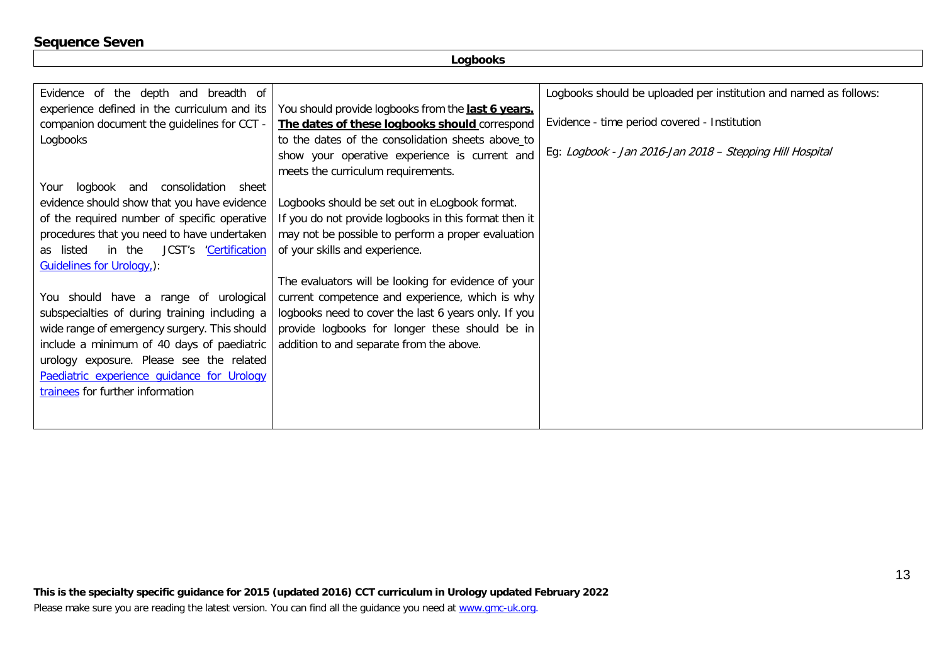# **Sequence Seven**

| Evidence of the depth and breadth of          |                                                       | Logbooks should be uploaded per institution and named as follows: |
|-----------------------------------------------|-------------------------------------------------------|-------------------------------------------------------------------|
| experience defined in the curriculum and its  | You should provide logbooks from the last 6 years.    |                                                                   |
|                                               |                                                       | Evidence - time period covered - Institution                      |
| companion document the guidelines for CCT -   | The dates of these logbooks should correspond         |                                                                   |
| Logbooks                                      | to the dates of the consolidation sheets above_to     |                                                                   |
|                                               | show your operative experience is current and         | Eg: Logbook - Jan 2016-Jan 2018 - Stepping Hill Hospital          |
|                                               | meets the curriculum requirements.                    |                                                                   |
| Your logbook and<br>consolidation<br>sheet    |                                                       |                                                                   |
| evidence should show that you have evidence   | Logbooks should be set out in eLogbook format.        |                                                                   |
| of the required number of specific operative  | If you do not provide logbooks in this format then it |                                                                   |
| procedures that you need to have undertaken   | may not be possible to perform a proper evaluation    |                                                                   |
| in the<br>JCST's 'Certification<br>as listed  | of your skills and experience.                        |                                                                   |
| <b>Guidelines for Urology,):</b>              |                                                       |                                                                   |
|                                               | The evaluators will be looking for evidence of your   |                                                                   |
| You should have a range of urological         | current competence and experience, which is why       |                                                                   |
| subspecialties of during training including a | logbooks need to cover the last 6 years only. If you  |                                                                   |
| wide range of emergency surgery. This should  | provide logbooks for longer these should be in        |                                                                   |
| include a minimum of 40 days of paediatric    | addition to and separate from the above.              |                                                                   |
| urology exposure. Please see the related      |                                                       |                                                                   |
| Paediatric experience quidance for Urology    |                                                       |                                                                   |
| trainees for further information              |                                                       |                                                                   |
|                                               |                                                       |                                                                   |
|                                               |                                                       |                                                                   |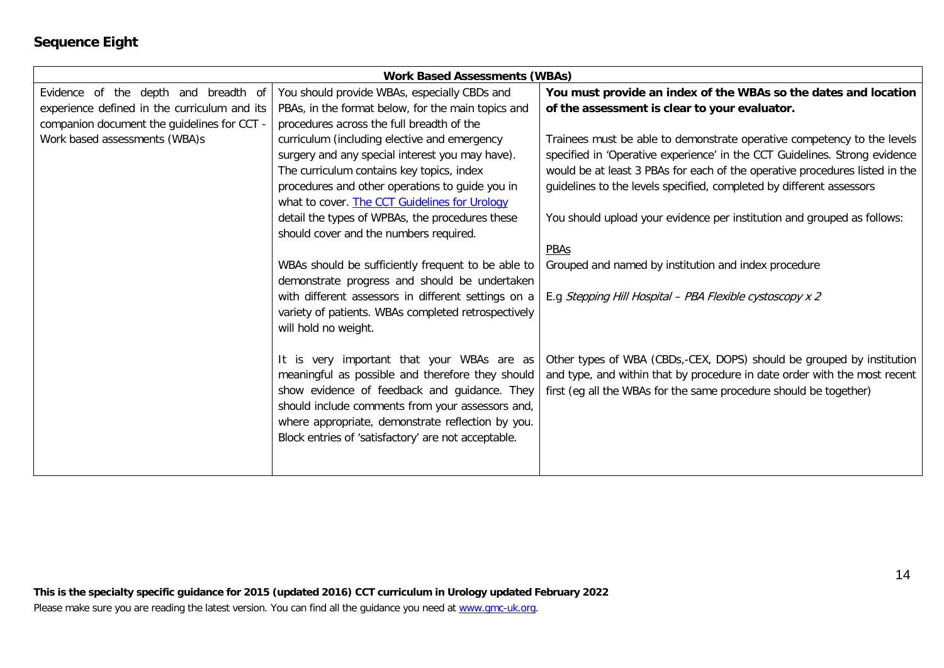# **Sequence Eight**

| <b>Work Based Assessments (WBAs)</b>         |                                                     |                                                                             |  |
|----------------------------------------------|-----------------------------------------------------|-----------------------------------------------------------------------------|--|
| Evidence of the depth and breadth of         | You should provide WBAs, especially CBDs and        | You must provide an index of the WBAs so the dates and location             |  |
| experience defined in the curriculum and its | PBAs, in the format below, for the main topics and  | of the assessment is clear to your evaluator.                               |  |
| companion document the guidelines for CCT -  | procedures across the full breadth of the           |                                                                             |  |
| Work based assessments (WBA)s                | curriculum (including elective and emergency        | Trainees must be able to demonstrate operative competency to the levels     |  |
|                                              | surgery and any special interest you may have).     | specified in 'Operative experience' in the CCT Guidelines. Strong evidence  |  |
|                                              | The curriculum contains key topics, index           | would be at least 3 PBAs for each of the operative procedures listed in the |  |
|                                              | procedures and other operations to guide you in     | guidelines to the levels specified, completed by different assessors        |  |
|                                              | what to cover. The CCT Guidelines for Urology       |                                                                             |  |
|                                              | detail the types of WPBAs, the procedures these     | You should upload your evidence per institution and grouped as follows:     |  |
|                                              | should cover and the numbers required.              |                                                                             |  |
|                                              |                                                     | PBAs                                                                        |  |
|                                              | WBAs should be sufficiently frequent to be able to  | Grouped and named by institution and index procedure                        |  |
|                                              | demonstrate progress and should be undertaken       |                                                                             |  |
|                                              | with different assessors in different settings on a | E.g Stepping Hill Hospital - PBA Flexible cystoscopy x 2                    |  |
|                                              | variety of patients. WBAs completed retrospectively |                                                                             |  |
|                                              | will hold no weight.                                |                                                                             |  |
|                                              |                                                     |                                                                             |  |
|                                              | It is very important that your WBAs are as          | Other types of WBA (CBDs,-CEX, DOPS) should be grouped by institution       |  |
|                                              | meaningful as possible and therefore they should    | and type, and within that by procedure in date order with the most recent   |  |
|                                              | show evidence of feedback and guidance. They        | first (eg all the WBAs for the same procedure should be together)           |  |
|                                              | should include comments from your assessors and,    |                                                                             |  |
|                                              | where appropriate, demonstrate reflection by you.   |                                                                             |  |
|                                              | Block entries of 'satisfactory' are not acceptable. |                                                                             |  |
|                                              |                                                     |                                                                             |  |
|                                              |                                                     |                                                                             |  |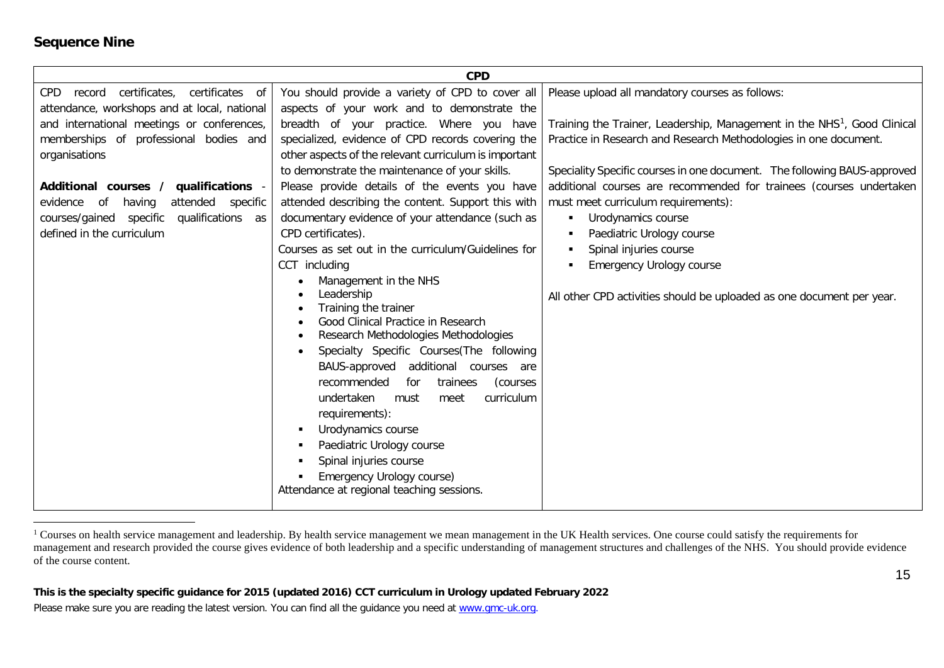### <span id="page-14-0"></span>**Sequence Nine**

|                                                  | <b>CPD</b>                                             |                                                                                      |
|--------------------------------------------------|--------------------------------------------------------|--------------------------------------------------------------------------------------|
| certificates,<br>certificates of<br>CPD record   | You should provide a variety of CPD to cover all       | Please upload all mandatory courses as follows:                                      |
| attendance, workshops and at local, national     | aspects of your work and to demonstrate the            |                                                                                      |
| and international meetings or conferences,       | breadth of your practice. Where you have               | Training the Trainer, Leadership, Management in the NHS <sup>1</sup> , Good Clinical |
| memberships of professional bodies and           | specialized, evidence of CPD records covering the      | Practice in Research and Research Methodologies in one document.                     |
| organisations                                    | other aspects of the relevant curriculum is important  |                                                                                      |
|                                                  | to demonstrate the maintenance of your skills.         | Speciality Specific courses in one document. The following BAUS-approved             |
| qualifications<br>Additional courses /           | Please provide details of the events you have          | additional courses are recommended for trainees (courses undertaken                  |
| attended<br>evidence<br>of<br>having<br>specific | attended describing the content. Support this with     | must meet curriculum requirements):                                                  |
| specific<br>qualifications as<br>courses/gained  | documentary evidence of your attendance (such as       | Urodynamics course<br>$\blacksquare$                                                 |
| defined in the curriculum                        | CPD certificates).                                     | Paediatric Urology course                                                            |
|                                                  | Courses as set out in the curriculum/Guidelines for    | Spinal injuries course                                                               |
|                                                  | CCT including                                          | <b>Emergency Urology course</b>                                                      |
|                                                  | Management in the NHS                                  |                                                                                      |
|                                                  | Leadership<br>Training the trainer                     | All other CPD activities should be uploaded as one document per year.                |
|                                                  | Good Clinical Practice in Research                     |                                                                                      |
|                                                  | Research Methodologies Methodologies                   |                                                                                      |
|                                                  | Specialty Specific Courses (The following<br>$\bullet$ |                                                                                      |
|                                                  | BAUS-approved additional courses are                   |                                                                                      |
|                                                  | recommended<br>for<br>trainees<br>(courses             |                                                                                      |
|                                                  | undertaken<br>curriculum<br>meet<br>must               |                                                                                      |
|                                                  | requirements):                                         |                                                                                      |
|                                                  | Urodynamics course<br>٠                                |                                                                                      |
|                                                  | Paediatric Urology course                              |                                                                                      |
|                                                  | Spinal injuries course                                 |                                                                                      |
|                                                  | Emergency Urology course)                              |                                                                                      |
|                                                  | Attendance at regional teaching sessions.              |                                                                                      |
|                                                  |                                                        |                                                                                      |

<sup>&</sup>lt;sup>1</sup> Courses on health service management and leadership. By health service management we mean management in the UK Health services. One course could satisfy the requirements for management and research provided the course gives evidence of both leadership and a specific understanding of management structures and challenges of the NHS. You should provide evidence of the course content.

**This is the specialty specific guidance for 2015 (updated 2016) CCT curriculum in Urology updated February 2022**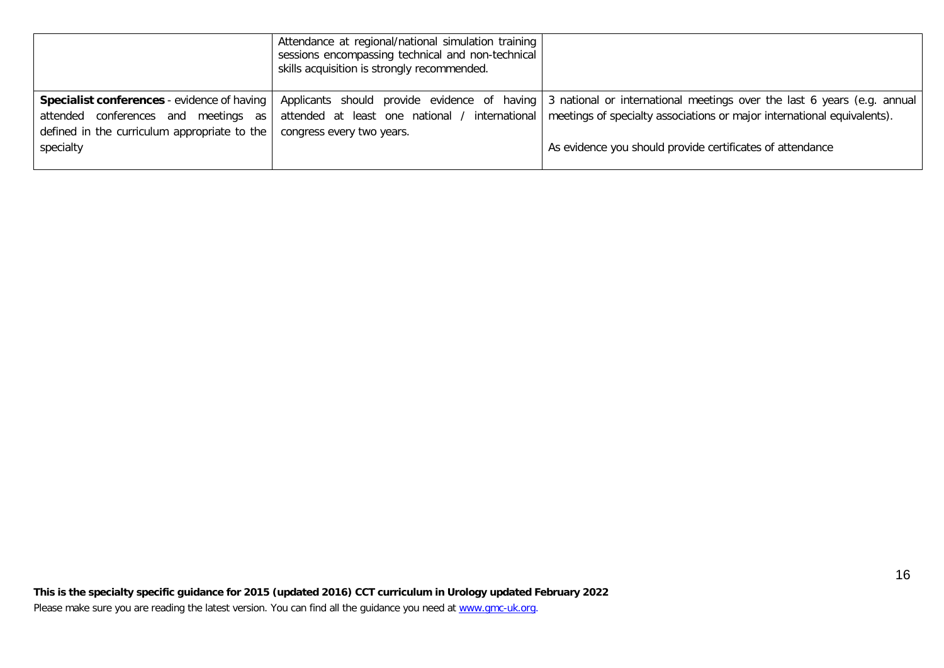|                                              | Attendance at regional/national simulation training<br>sessions encompassing technical and non-technical<br>skills acquisition is strongly recommended. |                                                                                                                          |
|----------------------------------------------|---------------------------------------------------------------------------------------------------------------------------------------------------------|--------------------------------------------------------------------------------------------------------------------------|
| Specialist conferences - evidence of having  |                                                                                                                                                         | Applicants should provide evidence of having 3 national or international meetings over the last 6 years (e.g. annual     |
| conferences and meetings as<br>attended      |                                                                                                                                                         | attended at least one national / international   meetings of specialty associations or major international equivalents). |
| defined in the curriculum appropriate to the | congress every two years.                                                                                                                               |                                                                                                                          |
| specialty                                    |                                                                                                                                                         | As evidence you should provide certificates of attendance                                                                |
|                                              |                                                                                                                                                         |                                                                                                                          |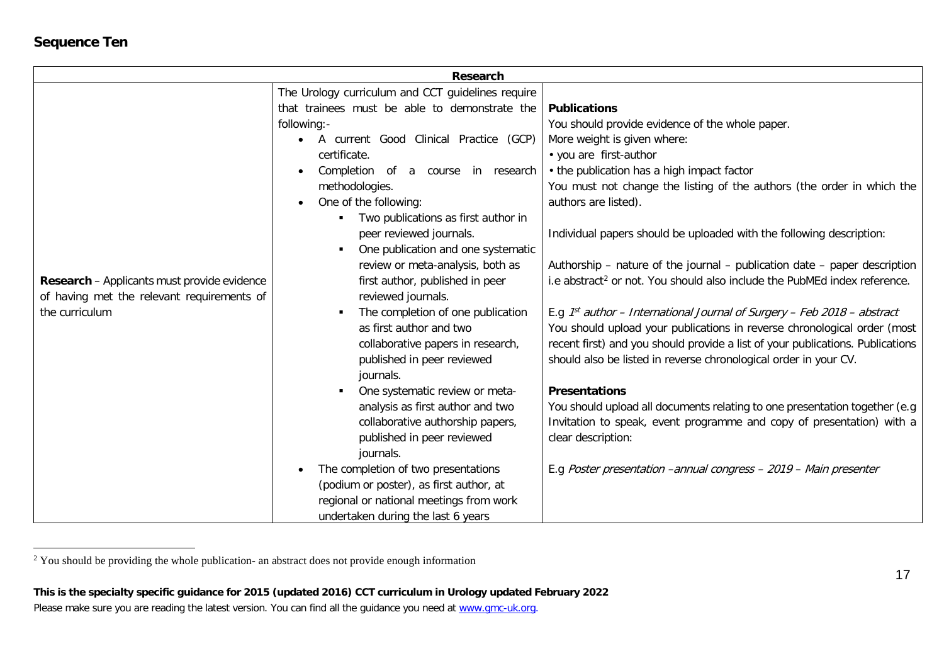# <span id="page-16-0"></span>**Sequence Ten**

|                                                    | Research                                            |                                                                                       |
|----------------------------------------------------|-----------------------------------------------------|---------------------------------------------------------------------------------------|
|                                                    | The Urology curriculum and CCT guidelines require   |                                                                                       |
|                                                    | that trainees must be able to demonstrate the       | <b>Publications</b>                                                                   |
|                                                    | following:-                                         | You should provide evidence of the whole paper.                                       |
|                                                    | A current Good Clinical Practice (GCP)<br>$\bullet$ | More weight is given where:                                                           |
|                                                    | certificate.                                        | • you are first-author                                                                |
|                                                    | Completion<br>of a course in research               | • the publication has a high impact factor                                            |
|                                                    | methodologies.                                      | You must not change the listing of the authors (the order in which the                |
|                                                    | One of the following:<br>$\bullet$                  | authors are listed).                                                                  |
|                                                    | Two publications as first author in                 |                                                                                       |
|                                                    | peer reviewed journals.                             | Individual papers should be uploaded with the following description:                  |
|                                                    | One publication and one systematic                  |                                                                                       |
|                                                    | review or meta-analysis, both as                    | Authorship - nature of the journal - publication date - paper description             |
| <b>Research</b> – Applicants must provide evidence | first author, published in peer                     | i.e abstract <sup>2</sup> or not. You should also include the PubMEd index reference. |
| of having met the relevant requirements of         | reviewed journals.                                  |                                                                                       |
| the curriculum                                     | The completion of one publication                   | E.g. $1^{st}$ author – International Journal of Surgery – Feb 2018 – abstract         |
|                                                    | as first author and two                             | You should upload your publications in reverse chronological order (most              |
|                                                    | collaborative papers in research,                   | recent first) and you should provide a list of your publications. Publications        |
|                                                    | published in peer reviewed                          | should also be listed in reverse chronological order in your CV.                      |
|                                                    | journals.                                           |                                                                                       |
|                                                    | One systematic review or meta-                      | <b>Presentations</b>                                                                  |
|                                                    | analysis as first author and two                    | You should upload all documents relating to one presentation together (e.g.           |
|                                                    | collaborative authorship papers,                    | Invitation to speak, event programme and copy of presentation) with a                 |
|                                                    | published in peer reviewed                          | clear description:                                                                    |
|                                                    | journals.                                           |                                                                                       |
|                                                    | The completion of two presentations                 | E.g Poster presentation -annual congress - 2019 - Main presenter                      |
|                                                    | (podium or poster), as first author, at             |                                                                                       |
|                                                    | regional or national meetings from work             |                                                                                       |
|                                                    | undertaken during the last 6 years                  |                                                                                       |

<sup>&</sup>lt;sup>2</sup> You should be providing the whole publication- an abstract does not provide enough information

**This is the specialty specific guidance for 2015 (updated 2016) CCT curriculum in Urology updated February 2022** Please make sure you are reading the latest version. You can find all the guidance you need at [www.gmc-uk.org.](http://www.gmc-uk.org/)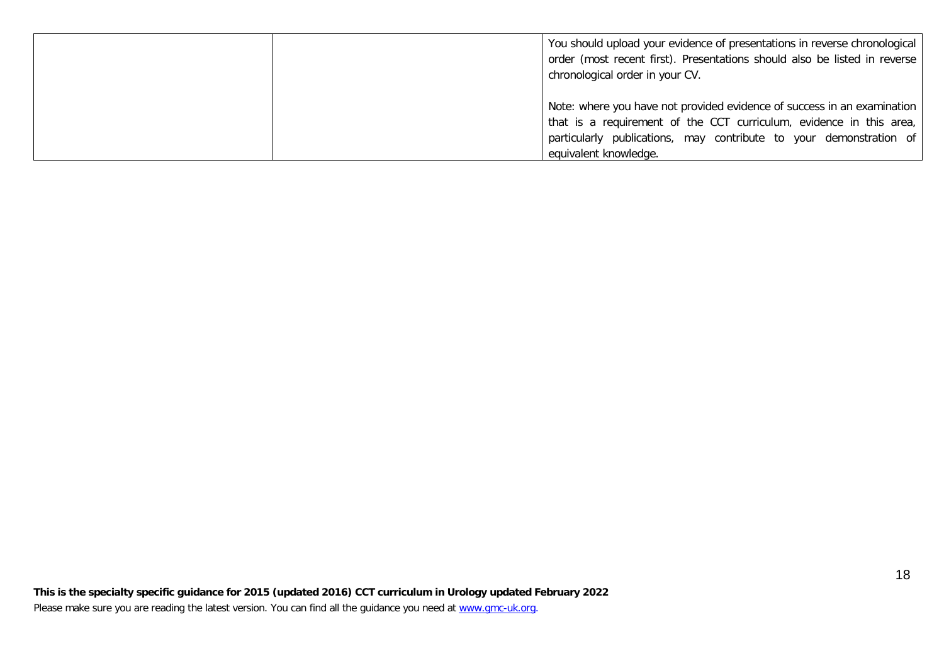| You should upload your evidence of presentations in reverse chronological<br>order (most recent first). Presentations should also be listed in reverse<br>chronological order in your CV. |
|-------------------------------------------------------------------------------------------------------------------------------------------------------------------------------------------|
| Note: where you have not provided evidence of success in an examination                                                                                                                   |
| that is a requirement of the CCT curriculum, evidence in this area,                                                                                                                       |
| particularly publications, may contribute to your demonstration of                                                                                                                        |
| equivalent knowledge.                                                                                                                                                                     |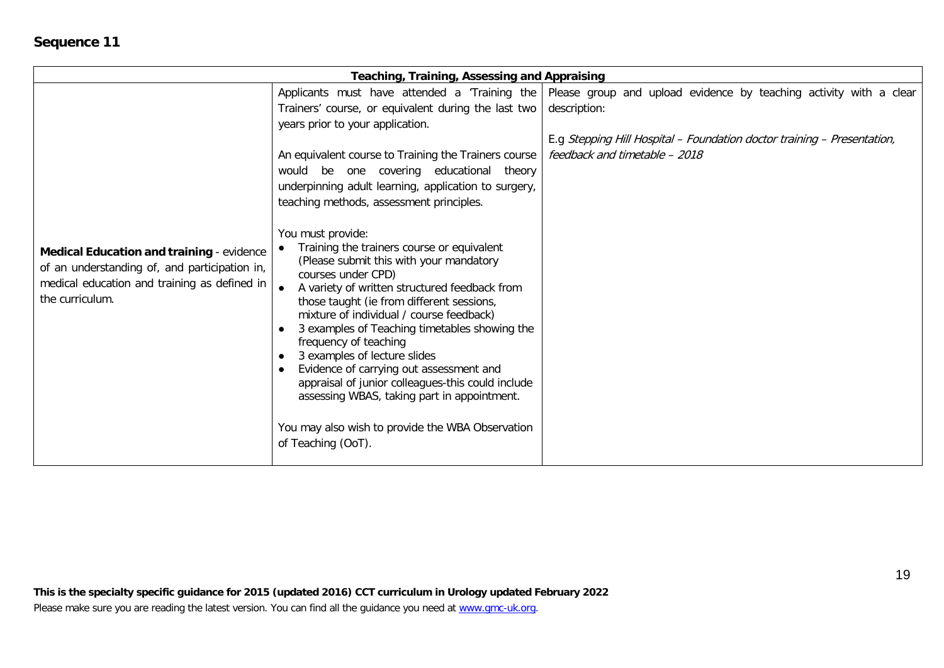| Teaching, Training, Assessing and Appraising                                                                                                                  |                                                                                                                                                                                                                                                                                                                                                                                                                                                                                                                                                                                                               |                                                                                                                    |
|---------------------------------------------------------------------------------------------------------------------------------------------------------------|---------------------------------------------------------------------------------------------------------------------------------------------------------------------------------------------------------------------------------------------------------------------------------------------------------------------------------------------------------------------------------------------------------------------------------------------------------------------------------------------------------------------------------------------------------------------------------------------------------------|--------------------------------------------------------------------------------------------------------------------|
|                                                                                                                                                               |                                                                                                                                                                                                                                                                                                                                                                                                                                                                                                                                                                                                               | Applicants must have attended a 'Training the   Please group and upload evidence by teaching activity with a clear |
|                                                                                                                                                               | Trainers' course, or equivalent during the last two                                                                                                                                                                                                                                                                                                                                                                                                                                                                                                                                                           | description:                                                                                                       |
|                                                                                                                                                               | years prior to your application.                                                                                                                                                                                                                                                                                                                                                                                                                                                                                                                                                                              |                                                                                                                    |
|                                                                                                                                                               |                                                                                                                                                                                                                                                                                                                                                                                                                                                                                                                                                                                                               | E.g Stepping Hill Hospital - Foundation doctor training - Presentation,                                            |
|                                                                                                                                                               | An equivalent course to Training the Trainers course                                                                                                                                                                                                                                                                                                                                                                                                                                                                                                                                                          | feedback and timetable - 2018                                                                                      |
|                                                                                                                                                               | would be one covering educational theory                                                                                                                                                                                                                                                                                                                                                                                                                                                                                                                                                                      |                                                                                                                    |
|                                                                                                                                                               | underpinning adult learning, application to surgery,                                                                                                                                                                                                                                                                                                                                                                                                                                                                                                                                                          |                                                                                                                    |
|                                                                                                                                                               | teaching methods, assessment principles.                                                                                                                                                                                                                                                                                                                                                                                                                                                                                                                                                                      |                                                                                                                    |
| Medical Education and training - evidence<br>of an understanding of, and participation in,<br>medical education and training as defined in<br>the curriculum. | You must provide:<br>Training the trainers course or equivalent<br>(Please submit this with your mandatory<br>courses under CPD)<br>A variety of written structured feedback from<br>those taught (ie from different sessions,<br>mixture of individual / course feedback)<br>3 examples of Teaching timetables showing the<br>frequency of teaching<br>3 examples of lecture slides<br>Evidence of carrying out assessment and<br>appraisal of junior colleagues-this could include<br>assessing WBAS, taking part in appointment.<br>You may also wish to provide the WBA Observation<br>of Teaching (OoT). |                                                                                                                    |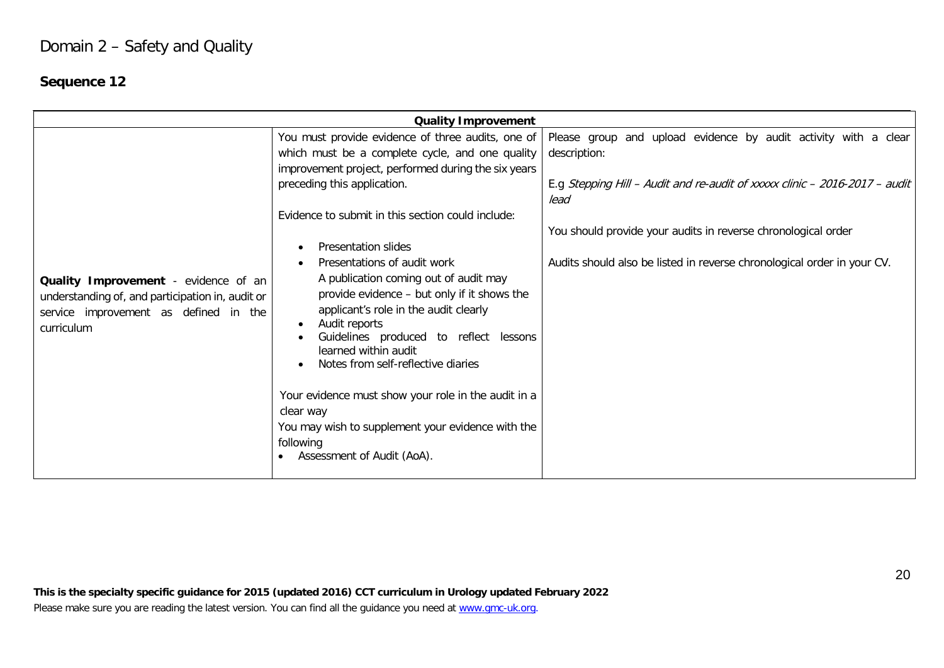# Domain 2 – Safety and Quality

# **Sequence 12**

| You must provide evidence of three audits, one of<br>which must be a complete cycle, and one quality<br>description:                                                                                                                                                                                                                                                                                                                                                                                                                                                                                                                                                                                                                                                                                                               | Please group and upload evidence by audit activity with a clear                                                                                                                                                        |
|------------------------------------------------------------------------------------------------------------------------------------------------------------------------------------------------------------------------------------------------------------------------------------------------------------------------------------------------------------------------------------------------------------------------------------------------------------------------------------------------------------------------------------------------------------------------------------------------------------------------------------------------------------------------------------------------------------------------------------------------------------------------------------------------------------------------------------|------------------------------------------------------------------------------------------------------------------------------------------------------------------------------------------------------------------------|
| improvement project, performed during the six years<br>preceding this application.<br>lead<br>Evidence to submit in this section could include:<br>Presentation slides<br>$\bullet$<br>Presentations of audit work<br>٠<br>A publication coming out of audit may<br>Quality Improvement - evidence of an<br>provide evidence - but only if it shows the<br>understanding of, and participation in, audit or<br>applicant's role in the audit clearly<br>service improvement as defined in the<br>Audit reports<br>$\bullet$<br>curriculum<br>Guidelines produced to reflect lessons<br>learned within audit<br>Notes from self-reflective diaries<br>$\bullet$<br>Your evidence must show your role in the audit in a<br>clear way<br>You may wish to supplement your evidence with the<br>following<br>Assessment of Audit (AoA). | E.g Stepping Hill - Audit and re-audit of xxxxx clinic - 2016-2017 - audit<br>You should provide your audits in reverse chronological order<br>Audits should also be listed in reverse chronological order in your CV. |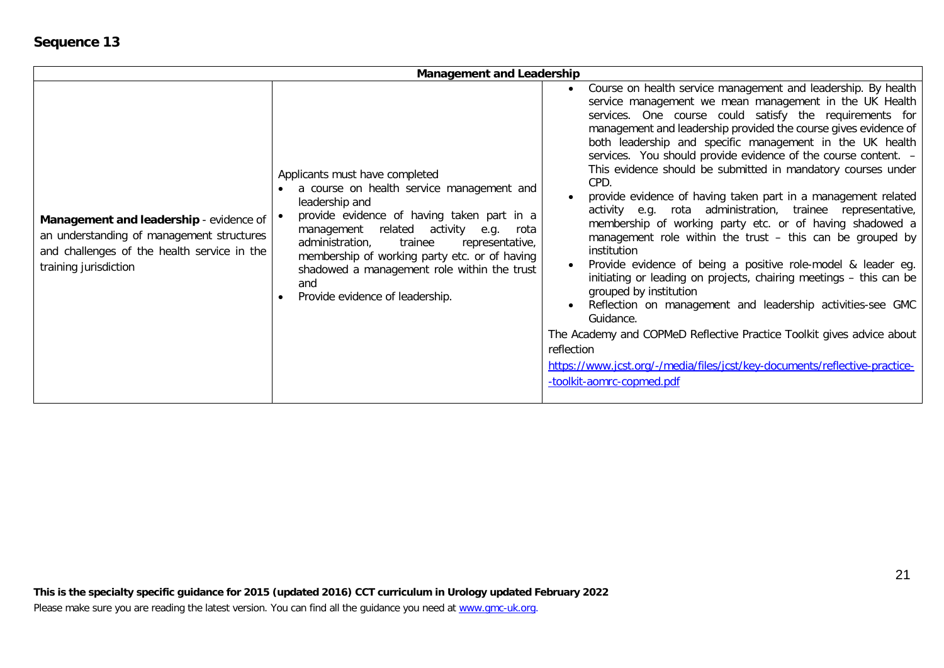| <b>Management and Leadership</b>                                                                                                                                                                             |                                                                                                                                                                                                                                                                                                                                        |                                                                                                                                                                                                                                                                                                                                                                                                                                                                                                                                                                                                                                                                                                                                                                                                                                                                                                                                                                                                                                                                                                                                                                                 |
|--------------------------------------------------------------------------------------------------------------------------------------------------------------------------------------------------------------|----------------------------------------------------------------------------------------------------------------------------------------------------------------------------------------------------------------------------------------------------------------------------------------------------------------------------------------|---------------------------------------------------------------------------------------------------------------------------------------------------------------------------------------------------------------------------------------------------------------------------------------------------------------------------------------------------------------------------------------------------------------------------------------------------------------------------------------------------------------------------------------------------------------------------------------------------------------------------------------------------------------------------------------------------------------------------------------------------------------------------------------------------------------------------------------------------------------------------------------------------------------------------------------------------------------------------------------------------------------------------------------------------------------------------------------------------------------------------------------------------------------------------------|
| leadership and<br>Management and leadership - evidence of   •<br>an understanding of management structures<br>administration,<br>and challenges of the health service in the<br>training jurisdiction<br>and | Applicants must have completed<br>a course on health service management and<br>provide evidence of having taken part in a<br>management related activity e.g.<br>rota<br>trainee<br>representative,<br>membership of working party etc. or of having<br>shadowed a management role within the trust<br>Provide evidence of leadership. | Course on health service management and leadership. By health<br>service management we mean management in the UK Health<br>services. One course could satisfy the requirements for<br>management and leadership provided the course gives evidence of<br>both leadership and specific management in the UK health<br>services. You should provide evidence of the course content. -<br>This evidence should be submitted in mandatory courses under<br>CPD.<br>provide evidence of having taken part in a management related<br>activity e.g. rota administration, trainee representative,<br>membership of working party etc. or of having shadowed a<br>management role within the trust - this can be grouped by<br>institution<br>Provide evidence of being a positive role-model & leader eg.<br>initiating or leading on projects, chairing meetings - this can be<br>grouped by institution<br>Reflection on management and leadership activities-see GMC<br>Guidance.<br>The Academy and COPMeD Reflective Practice Toolkit gives advice about<br>reflection<br>https://www.jcst.org/-/media/files/jcst/key-documents/reflective-practice-<br>-toolkit-aomrc-copmed.pdf |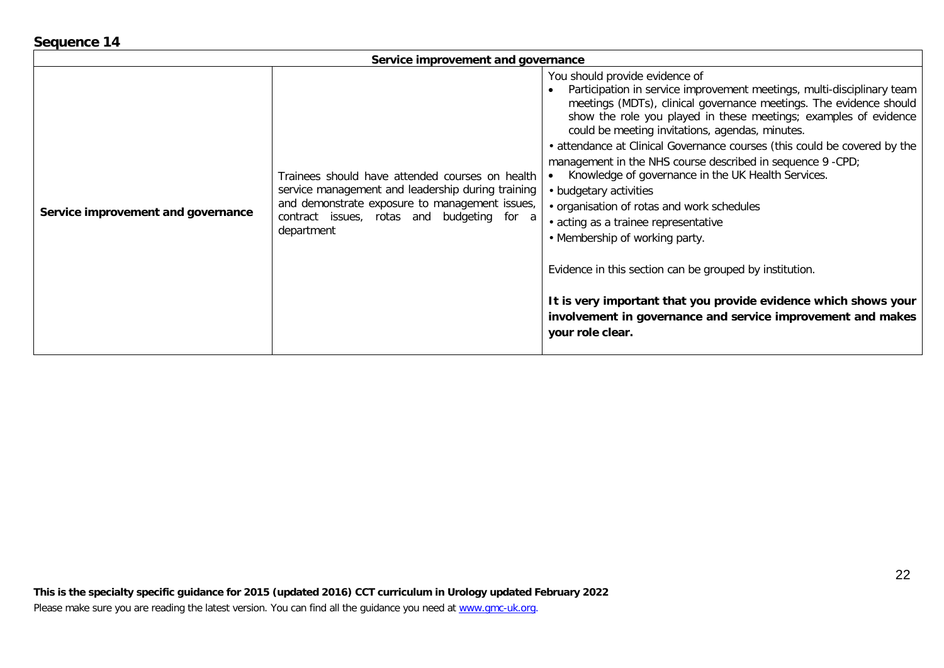| quence 1- |  |
|-----------|--|
|           |  |

|                                    | Service improvement and governance                                                                                                                                                                                 |                                                                                                                                                                                                                                                                                                                                                                                                                                                                                                                                                                                                                                                                                                                                                                                                                                                                           |
|------------------------------------|--------------------------------------------------------------------------------------------------------------------------------------------------------------------------------------------------------------------|---------------------------------------------------------------------------------------------------------------------------------------------------------------------------------------------------------------------------------------------------------------------------------------------------------------------------------------------------------------------------------------------------------------------------------------------------------------------------------------------------------------------------------------------------------------------------------------------------------------------------------------------------------------------------------------------------------------------------------------------------------------------------------------------------------------------------------------------------------------------------|
| Service improvement and governance | Trainees should have attended courses on health<br>service management and leadership during training<br>and demonstrate exposure to management issues,<br>contract issues, rotas and budgeting for a<br>department | You should provide evidence of<br>Participation in service improvement meetings, multi-disciplinary team<br>meetings (MDTs), clinical governance meetings. The evidence should<br>show the role you played in these meetings; examples of evidence<br>could be meeting invitations, agendas, minutes.<br>• attendance at Clinical Governance courses (this could be covered by the<br>management in the NHS course described in sequence 9 -CPD;<br>Knowledge of governance in the UK Health Services.<br>• budgetary activities<br>• organisation of rotas and work schedules<br>• acting as a trainee representative<br>• Membership of working party.<br>Evidence in this section can be grouped by institution.<br>It is very important that you provide evidence which shows your<br>involvement in governance and service improvement and makes<br>your role clear. |

# Seq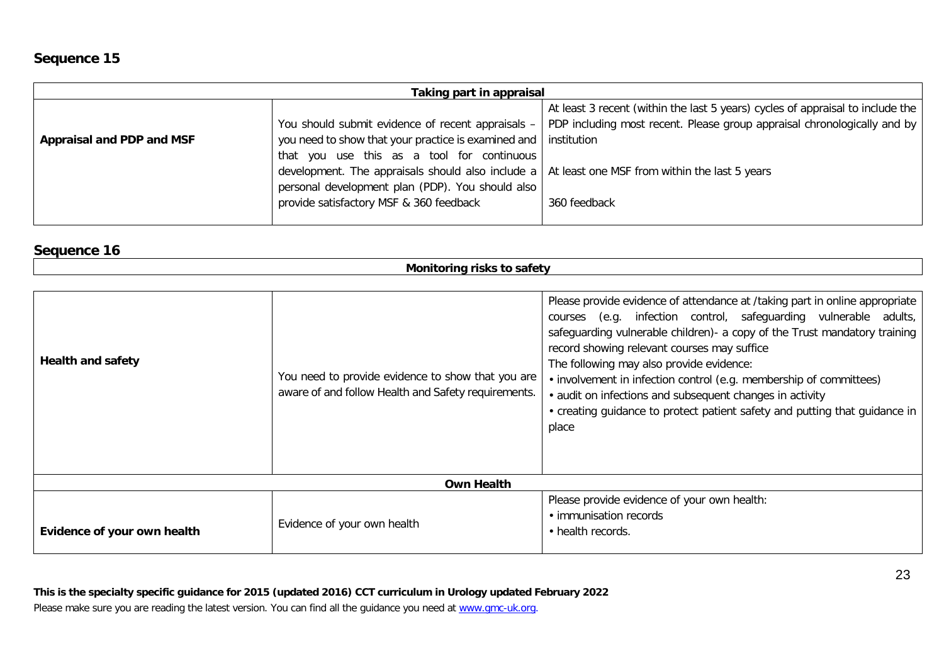| Taking part in appraisal         |                                                                                                         |                                                                                |  |
|----------------------------------|---------------------------------------------------------------------------------------------------------|--------------------------------------------------------------------------------|--|
|                                  |                                                                                                         | At least 3 recent (within the last 5 years) cycles of appraisal to include the |  |
|                                  | You should submit evidence of recent appraisals -                                                       | PDP including most recent. Please group appraisal chronologically and by       |  |
| <b>Appraisal and PDP and MSF</b> | you need to show that your practice is examined and   institution                                       |                                                                                |  |
|                                  | that you use this as a tool for continuous                                                              |                                                                                |  |
|                                  | development. The appraisals should also include a $\vert$ At least one MSF from within the last 5 years |                                                                                |  |
|                                  | personal development plan (PDP). You should also                                                        |                                                                                |  |
|                                  | provide satisfactory MSF & 360 feedback                                                                 | 360 feedback                                                                   |  |
|                                  |                                                                                                         |                                                                                |  |

# **Sequence 16**

| Monitoring risks to safety  |                                                                                                          |                                                                                                                                                                                                                                                                                                                                                                                                                                                                                                                                                   |  |
|-----------------------------|----------------------------------------------------------------------------------------------------------|---------------------------------------------------------------------------------------------------------------------------------------------------------------------------------------------------------------------------------------------------------------------------------------------------------------------------------------------------------------------------------------------------------------------------------------------------------------------------------------------------------------------------------------------------|--|
|                             |                                                                                                          |                                                                                                                                                                                                                                                                                                                                                                                                                                                                                                                                                   |  |
| <b>Health and safety</b>    | You need to provide evidence to show that you are<br>aware of and follow Health and Safety requirements. | Please provide evidence of attendance at /taking part in online appropriate<br>courses (e.g. infection control, safeguarding vulnerable adults,<br>safeguarding vulnerable children) - a copy of the Trust mandatory training<br>record showing relevant courses may suffice<br>The following may also provide evidence:<br>• involvement in infection control (e.g. membership of committees)<br>• audit on infections and subsequent changes in activity<br>• creating guidance to protect patient safety and putting that guidance in<br>place |  |
| <b>Own Health</b>           |                                                                                                          |                                                                                                                                                                                                                                                                                                                                                                                                                                                                                                                                                   |  |
| Evidence of your own health | Evidence of your own health                                                                              | Please provide evidence of your own health:<br>• immunisation records<br>• health records.                                                                                                                                                                                                                                                                                                                                                                                                                                                        |  |

# **This is the specialty specific guidance for 2015 (updated 2016) CCT curriculum in Urology updated February 2022**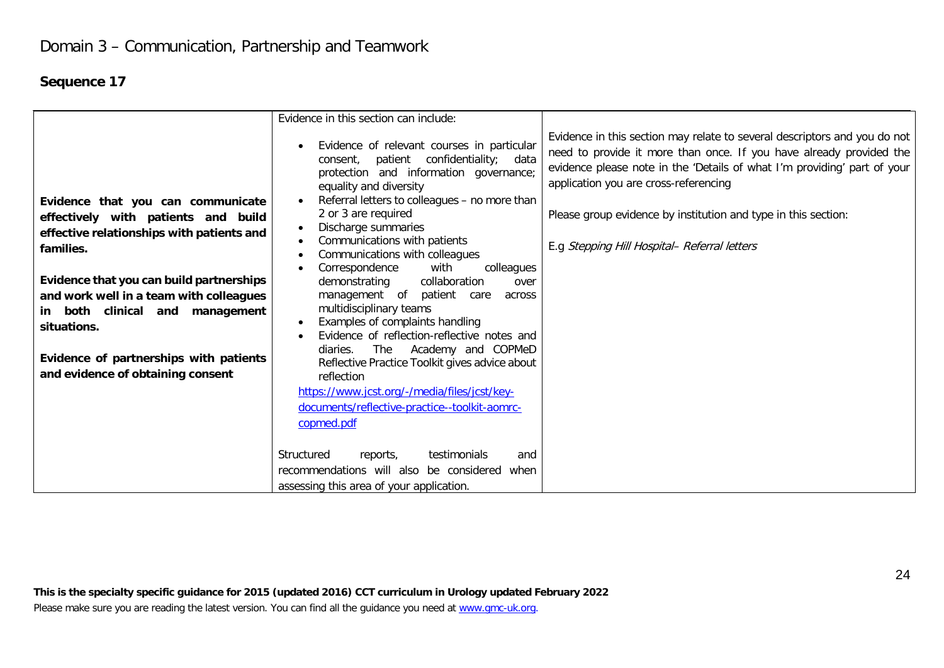|                                                                                                                                                                                                                                                                                                                                                            | Evidence in this section can include:                                                                                                                                                                                                                                                                                                                                                                                                                                                                                                                                                                                                                                                                                                                                                                    |                                                                                                                                                                                                                                                                                                                                                                                         |
|------------------------------------------------------------------------------------------------------------------------------------------------------------------------------------------------------------------------------------------------------------------------------------------------------------------------------------------------------------|----------------------------------------------------------------------------------------------------------------------------------------------------------------------------------------------------------------------------------------------------------------------------------------------------------------------------------------------------------------------------------------------------------------------------------------------------------------------------------------------------------------------------------------------------------------------------------------------------------------------------------------------------------------------------------------------------------------------------------------------------------------------------------------------------------|-----------------------------------------------------------------------------------------------------------------------------------------------------------------------------------------------------------------------------------------------------------------------------------------------------------------------------------------------------------------------------------------|
| Evidence that you can communicate<br>effectively with patients and build<br>effective relationships with patients and<br>families.<br>Evidence that you can build partnerships<br>and work well in a team with colleagues<br>in both clinical and management<br>situations.<br>Evidence of partnerships with patients<br>and evidence of obtaining consent | Evidence of relevant courses in particular<br>$\bullet$<br>patient confidentiality; data<br>consent.<br>protection and information governance;<br>equality and diversity<br>Referral letters to colleagues - no more than<br>2 or 3 are required<br>Discharge summaries<br>$\bullet$<br>Communications with patients<br>٠<br>Communications with colleagues<br>$\bullet$<br>Correspondence<br>with<br>colleagues<br>collaboration<br>demonstrating<br>over<br>management of<br>patient<br>care<br>across<br>multidisciplinary teams<br>Examples of complaints handling<br>$\bullet$<br>Evidence of reflection-reflective notes and<br>$\bullet$<br>Academy and COPMeD<br>The<br>diaries.<br>Reflective Practice Toolkit gives advice about<br>reflection<br>https://www.jcst.org/-/media/files/jcst/key- | Evidence in this section may relate to several descriptors and you do not<br>need to provide it more than once. If you have already provided the<br>evidence please note in the 'Details of what I'm providing' part of your<br>application you are cross-referencing<br>Please group evidence by institution and type in this section:<br>E.g Stepping Hill Hospital- Referral letters |
|                                                                                                                                                                                                                                                                                                                                                            | documents/reflective-practice--toolkit-aomrc-                                                                                                                                                                                                                                                                                                                                                                                                                                                                                                                                                                                                                                                                                                                                                            |                                                                                                                                                                                                                                                                                                                                                                                         |
|                                                                                                                                                                                                                                                                                                                                                            | copmed.pdf                                                                                                                                                                                                                                                                                                                                                                                                                                                                                                                                                                                                                                                                                                                                                                                               |                                                                                                                                                                                                                                                                                                                                                                                         |
|                                                                                                                                                                                                                                                                                                                                                            | Structured<br>testimonials<br>reports,<br>and<br>recommendations will also be considered<br>when                                                                                                                                                                                                                                                                                                                                                                                                                                                                                                                                                                                                                                                                                                         |                                                                                                                                                                                                                                                                                                                                                                                         |
|                                                                                                                                                                                                                                                                                                                                                            | assessing this area of your application.                                                                                                                                                                                                                                                                                                                                                                                                                                                                                                                                                                                                                                                                                                                                                                 |                                                                                                                                                                                                                                                                                                                                                                                         |